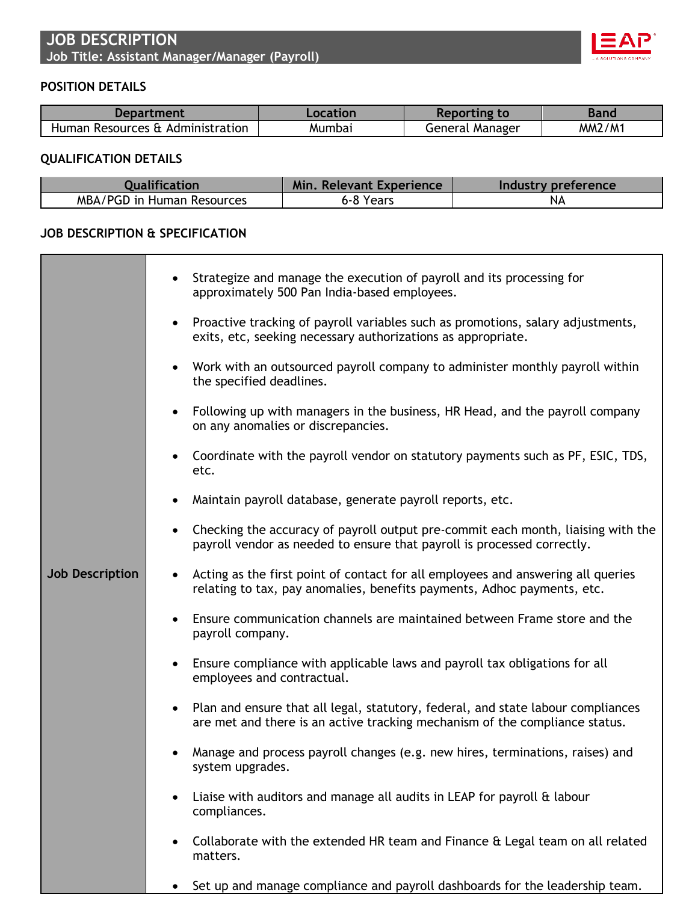

## **POSITION DETAILS**

| Department                       | Location | Reporting to    | Band          |
|----------------------------------|----------|-----------------|---------------|
| Human Resources & Administration | Mumbai   | General Manager | <b>MM2/M1</b> |

## **QUALIFICATION DETAILS**

| <b>Oualification</b>       | <b>Min, Relevant Experience</b> | Industry preference |
|----------------------------|---------------------------------|---------------------|
| MBA/PGD in Human Resources | 6-8 Years                       | NΑ                  |

## **JOB DESCRIPTION & SPECIFICATION**

|                        | Strategize and manage the execution of payroll and its processing for<br>$\bullet$<br>approximately 500 Pan India-based employees.                                           |
|------------------------|------------------------------------------------------------------------------------------------------------------------------------------------------------------------------|
|                        | Proactive tracking of payroll variables such as promotions, salary adjustments,<br>$\bullet$<br>exits, etc, seeking necessary authorizations as appropriate.                 |
|                        | Work with an outsourced payroll company to administer monthly payroll within<br>$\bullet$<br>the specified deadlines.                                                        |
|                        | Following up with managers in the business, HR Head, and the payroll company<br>$\bullet$<br>on any anomalies or discrepancies.                                              |
|                        | Coordinate with the payroll vendor on statutory payments such as PF, ESIC, TDS,<br>$\bullet$<br>etc.                                                                         |
|                        | Maintain payroll database, generate payroll reports, etc.<br>$\bullet$                                                                                                       |
|                        | Checking the accuracy of payroll output pre-commit each month, liaising with the<br>$\bullet$<br>payroll vendor as needed to ensure that payroll is processed correctly.     |
| <b>Job Description</b> | Acting as the first point of contact for all employees and answering all queries<br>$\bullet$<br>relating to tax, pay anomalies, benefits payments, Adhoc payments, etc.     |
|                        | Ensure communication channels are maintained between Frame store and the<br>$\bullet$<br>payroll company.                                                                    |
|                        | Ensure compliance with applicable laws and payroll tax obligations for all<br>$\bullet$<br>employees and contractual.                                                        |
|                        | Plan and ensure that all legal, statutory, federal, and state labour compliances<br>$\bullet$<br>are met and there is an active tracking mechanism of the compliance status. |
|                        | Manage and process payroll changes (e.g. new hires, terminations, raises) and<br>system upgrades.                                                                            |
|                        | Liaise with auditors and manage all audits in LEAP for payroll & labour<br>$\bullet$<br>compliances.                                                                         |
|                        | Collaborate with the extended HR team and Finance & Legal team on all related<br>٠<br>matters.                                                                               |
|                        | Set up and manage compliance and payroll dashboards for the leadership team.<br>$\bullet$                                                                                    |